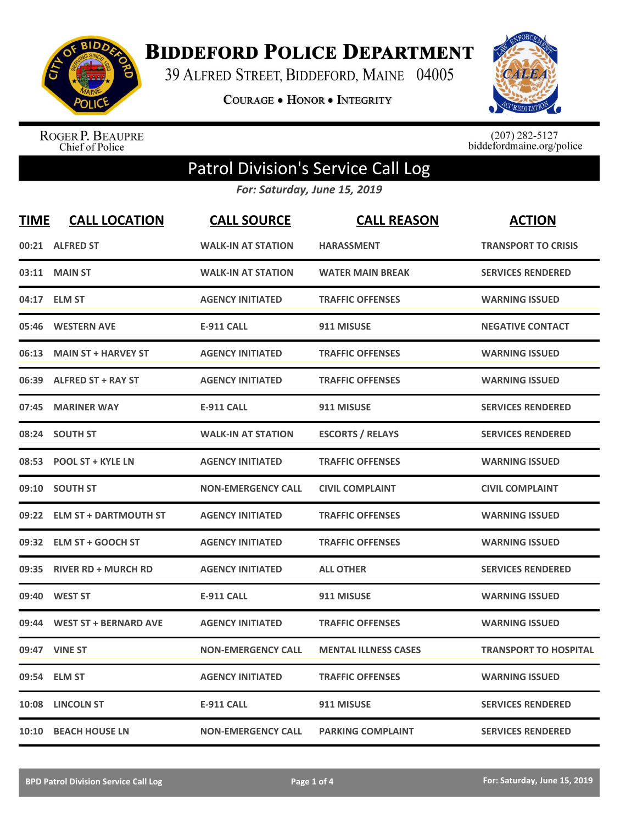

**BIDDEFORD POLICE DEPARTMENT** 

39 ALFRED STREET, BIDDEFORD, MAINE 04005

**COURAGE . HONOR . INTEGRITY** 



ROGER P. BEAUPRE<br>Chief of Police

 $(207)$  282-5127<br>biddefordmaine.org/police

## Patrol Division's Service Call Log

*For: Saturday, June 15, 2019*

| <b>TIME</b> | <b>CALL LOCATION</b>        | <b>CALL SOURCE</b>        | <b>CALL REASON</b>          | <b>ACTION</b>                |
|-------------|-----------------------------|---------------------------|-----------------------------|------------------------------|
|             | 00:21 ALFRED ST             | <b>WALK-IN AT STATION</b> | <b>HARASSMENT</b>           | <b>TRANSPORT TO CRISIS</b>   |
|             | 03:11 MAIN ST               | <b>WALK-IN AT STATION</b> | <b>WATER MAIN BREAK</b>     | <b>SERVICES RENDERED</b>     |
|             | 04:17 ELM ST                | <b>AGENCY INITIATED</b>   | <b>TRAFFIC OFFENSES</b>     | <b>WARNING ISSUED</b>        |
|             | 05:46 WESTERN AVE           | <b>E-911 CALL</b>         | 911 MISUSE                  | <b>NEGATIVE CONTACT</b>      |
|             | 06:13 MAIN ST + HARVEY ST   | <b>AGENCY INITIATED</b>   | <b>TRAFFIC OFFENSES</b>     | <b>WARNING ISSUED</b>        |
|             | 06:39 ALFRED ST + RAY ST    | <b>AGENCY INITIATED</b>   | <b>TRAFFIC OFFENSES</b>     | <b>WARNING ISSUED</b>        |
|             | 07:45 MARINER WAY           | <b>E-911 CALL</b>         | 911 MISUSE                  | <b>SERVICES RENDERED</b>     |
|             | 08:24 SOUTH ST              | <b>WALK-IN AT STATION</b> | <b>ESCORTS / RELAYS</b>     | <b>SERVICES RENDERED</b>     |
|             | 08:53 POOL ST + KYLE LN     | <b>AGENCY INITIATED</b>   | <b>TRAFFIC OFFENSES</b>     | <b>WARNING ISSUED</b>        |
|             | 09:10 SOUTH ST              | <b>NON-EMERGENCY CALL</b> | <b>CIVIL COMPLAINT</b>      | <b>CIVIL COMPLAINT</b>       |
|             | 09:22 ELM ST + DARTMOUTH ST | <b>AGENCY INITIATED</b>   | <b>TRAFFIC OFFENSES</b>     | <b>WARNING ISSUED</b>        |
|             | 09:32 ELM ST + GOOCH ST     | <b>AGENCY INITIATED</b>   | <b>TRAFFIC OFFENSES</b>     | <b>WARNING ISSUED</b>        |
|             | 09:35 RIVER RD + MURCH RD   | <b>AGENCY INITIATED</b>   | <b>ALL OTHER</b>            | <b>SERVICES RENDERED</b>     |
|             | 09:40 WEST ST               | <b>E-911 CALL</b>         | 911 MISUSE                  | <b>WARNING ISSUED</b>        |
|             | 09:44 WEST ST + BERNARD AVE | <b>AGENCY INITIATED</b>   | <b>TRAFFIC OFFENSES</b>     | <b>WARNING ISSUED</b>        |
|             | 09:47 VINE ST               | <b>NON-EMERGENCY CALL</b> | <b>MENTAL ILLNESS CASES</b> | <b>TRANSPORT TO HOSPITAL</b> |
|             | 09:54 ELM ST                | <b>AGENCY INITIATED</b>   | <b>TRAFFIC OFFENSES</b>     | <b>WARNING ISSUED</b>        |
|             | 10:08 LINCOLN ST            | <b>E-911 CALL</b>         | 911 MISUSE                  | <b>SERVICES RENDERED</b>     |
|             | 10:10 BEACH HOUSE LN        | <b>NON-EMERGENCY CALL</b> | <b>PARKING COMPLAINT</b>    | <b>SERVICES RENDERED</b>     |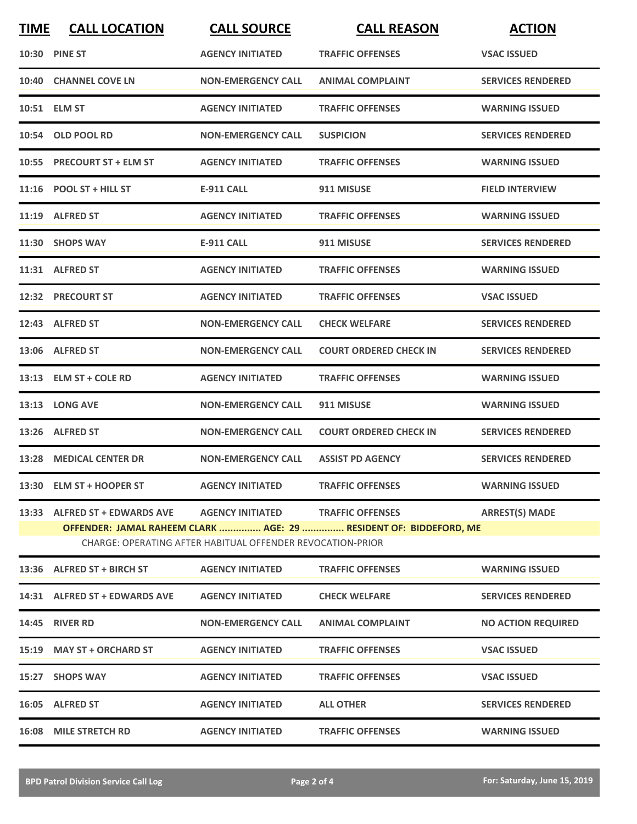| <b>TIME</b>                                                | <b>CALL LOCATION</b>                                            | <b>CALL SOURCE</b>        | <b>CALL REASON</b>                                                | <b>ACTION</b>             |  |
|------------------------------------------------------------|-----------------------------------------------------------------|---------------------------|-------------------------------------------------------------------|---------------------------|--|
|                                                            | <b>10:30 PINE ST</b>                                            | <b>AGENCY INITIATED</b>   | <b>TRAFFIC OFFENSES</b>                                           | <b>VSAC ISSUED</b>        |  |
|                                                            | 10:40 CHANNEL COVE LN                                           | <b>NON-EMERGENCY CALL</b> | <b>ANIMAL COMPLAINT</b>                                           | <b>SERVICES RENDERED</b>  |  |
|                                                            | 10:51 ELM ST                                                    | <b>AGENCY INITIATED</b>   | <b>TRAFFIC OFFENSES</b>                                           | <b>WARNING ISSUED</b>     |  |
|                                                            | 10:54 OLD POOL RD                                               | <b>NON-EMERGENCY CALL</b> | <b>SUSPICION</b>                                                  | <b>SERVICES RENDERED</b>  |  |
|                                                            | 10:55 PRECOURT ST + ELM ST                                      | <b>AGENCY INITIATED</b>   | <b>TRAFFIC OFFENSES</b>                                           | <b>WARNING ISSUED</b>     |  |
|                                                            | $11:16$ POOL ST + HILL ST                                       | <b>E-911 CALL</b>         | 911 MISUSE                                                        | <b>FIELD INTERVIEW</b>    |  |
|                                                            | 11:19 ALFRED ST                                                 | <b>AGENCY INITIATED</b>   | <b>TRAFFIC OFFENSES</b>                                           | <b>WARNING ISSUED</b>     |  |
|                                                            | 11:30 SHOPS WAY                                                 | <b>E-911 CALL</b>         | 911 MISUSE                                                        | <b>SERVICES RENDERED</b>  |  |
|                                                            | 11:31 ALFRED ST                                                 | <b>AGENCY INITIATED</b>   | <b>TRAFFIC OFFENSES</b>                                           | <b>WARNING ISSUED</b>     |  |
|                                                            | 12:32 PRECOURT ST                                               | <b>AGENCY INITIATED</b>   | <b>TRAFFIC OFFENSES</b>                                           | <b>VSAC ISSUED</b>        |  |
|                                                            | 12:43 ALFRED ST                                                 | <b>NON-EMERGENCY CALL</b> | <b>CHECK WELFARE</b>                                              | <b>SERVICES RENDERED</b>  |  |
|                                                            | 13:06 ALFRED ST                                                 | <b>NON-EMERGENCY CALL</b> | <b>COURT ORDERED CHECK IN</b>                                     | <b>SERVICES RENDERED</b>  |  |
|                                                            | 13:13 ELM ST + COLE RD                                          | <b>AGENCY INITIATED</b>   | <b>TRAFFIC OFFENSES</b>                                           | <b>WARNING ISSUED</b>     |  |
|                                                            | 13:13 LONG AVE                                                  | <b>NON-EMERGENCY CALL</b> | 911 MISUSE                                                        | <b>WARNING ISSUED</b>     |  |
|                                                            | 13:26 ALFRED ST                                                 | <b>NON-EMERGENCY CALL</b> | <b>COURT ORDERED CHECK IN</b>                                     | <b>SERVICES RENDERED</b>  |  |
|                                                            | 13:28 MEDICAL CENTER DR                                         | <b>NON-EMERGENCY CALL</b> | <b>ASSIST PD AGENCY</b>                                           | <b>SERVICES RENDERED</b>  |  |
|                                                            | 13:30 ELM ST + HOOPER ST                                        | <b>AGENCY INITIATED</b>   | <b>TRAFFIC OFFENSES</b>                                           | <b>WARNING ISSUED</b>     |  |
|                                                            | 13:33 ALFRED ST + EDWARDS AVE AGENCY INITIATED TRAFFIC OFFENSES |                           |                                                                   | <b>ARREST(S) MADE</b>     |  |
|                                                            |                                                                 |                           | OFFENDER: JAMAL RAHEEM CLARK  AGE: 29  RESIDENT OF: BIDDEFORD, ME |                           |  |
| CHARGE: OPERATING AFTER HABITUAL OFFENDER REVOCATION-PRIOR |                                                                 |                           |                                                                   |                           |  |
|                                                            |                                                                 |                           | <b>TRAFFIC OFFENSES</b>                                           | <b>WARNING ISSUED</b>     |  |
|                                                            | 14:31 ALFRED ST + EDWARDS AVE                                   | <b>AGENCY INITIATED</b>   | <b>CHECK WELFARE</b>                                              | <b>SERVICES RENDERED</b>  |  |
|                                                            | <b>14:45 RIVER RD</b>                                           | <b>NON-EMERGENCY CALL</b> | <b>ANIMAL COMPLAINT</b>                                           | <b>NO ACTION REQUIRED</b> |  |
|                                                            | 15:19 MAY ST + ORCHARD ST                                       | <b>AGENCY INITIATED</b>   | <b>TRAFFIC OFFENSES</b>                                           | <b>VSAC ISSUED</b>        |  |

**15:27 SHOPS WAY AGENCY INITIATED TRAFFIC OFFENSES VSAC ISSUED 16:05 ALFRED ST AGENCY INITIATED ALL OTHER SERVICES RENDERED 16:08 MILE STRETCH RD AGENCY INITIATED TRAFFIC OFFENSES WARNING ISSUED**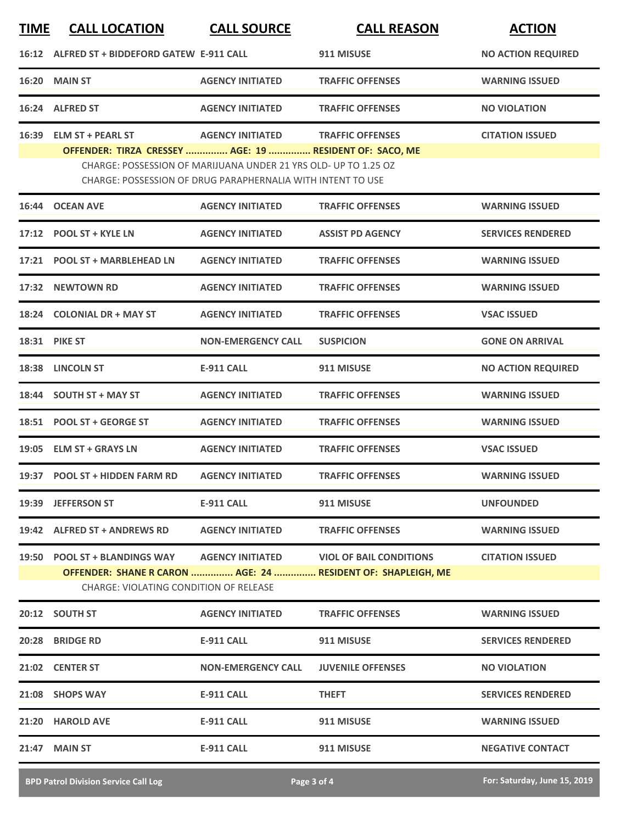| <u>TIME</u> | <b>CALL LOCATION</b>                                                                                                                       | <b>CALL SOURCE</b>                                                                                                             | <b>CALL REASON</b>                                           | <b>ACTION</b>             |
|-------------|--------------------------------------------------------------------------------------------------------------------------------------------|--------------------------------------------------------------------------------------------------------------------------------|--------------------------------------------------------------|---------------------------|
|             | 16:12 ALFRED ST + BIDDEFORD GATEW E-911 CALL                                                                                               |                                                                                                                                | 911 MISUSE                                                   | <b>NO ACTION REQUIRED</b> |
| 16:20       | <b>MAIN ST</b>                                                                                                                             | <b>AGENCY INITIATED</b>                                                                                                        | <b>TRAFFIC OFFENSES</b>                                      | <b>WARNING ISSUED</b>     |
|             | 16:24 ALFRED ST                                                                                                                            | <b>AGENCY INITIATED</b>                                                                                                        | <b>TRAFFIC OFFENSES</b>                                      | <b>NO VIOLATION</b>       |
|             | 16:39 ELM ST + PEARL ST<br>OFFENDER: TIRZA CRESSEY  AGE: 19  RESIDENT OF: SACO, ME                                                         | <b>AGENCY INITIATED</b>                                                                                                        | <b>TRAFFIC OFFENSES</b>                                      | <b>CITATION ISSUED</b>    |
|             |                                                                                                                                            | CHARGE: POSSESSION OF MARIJUANA UNDER 21 YRS OLD- UP TO 1.25 OZ<br>CHARGE: POSSESSION OF DRUG PARAPHERNALIA WITH INTENT TO USE |                                                              |                           |
| 16:44       | <b>OCEAN AVE</b>                                                                                                                           | <b>AGENCY INITIATED</b>                                                                                                        | <b>TRAFFIC OFFENSES</b>                                      | <b>WARNING ISSUED</b>     |
|             | 17:12 POOL ST + KYLE LN                                                                                                                    | <b>AGENCY INITIATED</b>                                                                                                        | <b>ASSIST PD AGENCY</b>                                      | <b>SERVICES RENDERED</b>  |
|             | 17:21 POOL ST + MARBLEHEAD LN                                                                                                              | <b>AGENCY INITIATED</b>                                                                                                        | <b>TRAFFIC OFFENSES</b>                                      | <b>WARNING ISSUED</b>     |
| 17:32       | <b>NEWTOWN RD</b>                                                                                                                          | <b>AGENCY INITIATED</b>                                                                                                        | <b>TRAFFIC OFFENSES</b>                                      | <b>WARNING ISSUED</b>     |
|             | 18:24 COLONIAL DR + MAY ST                                                                                                                 | <b>AGENCY INITIATED</b>                                                                                                        | <b>TRAFFIC OFFENSES</b>                                      | <b>VSAC ISSUED</b>        |
|             | 18:31 PIKE ST                                                                                                                              | <b>NON-EMERGENCY CALL</b>                                                                                                      | <b>SUSPICION</b>                                             | <b>GONE ON ARRIVAL</b>    |
|             | 18:38 LINCOLN ST                                                                                                                           | <b>E-911 CALL</b>                                                                                                              | 911 MISUSE                                                   | <b>NO ACTION REQUIRED</b> |
| 18:44       | <b>SOUTH ST + MAY ST</b>                                                                                                                   | <b>AGENCY INITIATED</b>                                                                                                        | <b>TRAFFIC OFFENSES</b>                                      | <b>WARNING ISSUED</b>     |
|             | 18:51 POOL ST + GEORGE ST                                                                                                                  | <b>AGENCY INITIATED</b>                                                                                                        | <b>TRAFFIC OFFENSES</b>                                      | <b>WARNING ISSUED</b>     |
|             | 19:05 ELM ST + GRAYS LN                                                                                                                    | <b>AGENCY INITIATED</b>                                                                                                        | <b>TRAFFIC OFFENSES</b>                                      | <b>VSAC ISSUED</b>        |
|             | 19:37 POOL ST + HIDDEN FARM RD                                                                                                             | <b>AGENCY INITIATED</b>                                                                                                        | <b>TRAFFIC OFFENSES</b>                                      | <b>WARNING ISSUED</b>     |
|             | 19:39 JEFFERSON ST                                                                                                                         | E-911 CALL                                                                                                                     | 911 MISUSE                                                   | <b>UNFOUNDED</b>          |
|             | 19:42 ALFRED ST + ANDREWS RD                                                                                                               | <b>AGENCY INITIATED</b>                                                                                                        | <b>TRAFFIC OFFENSES</b>                                      | <b>WARNING ISSUED</b>     |
|             | 19:50 POOL ST + BLANDINGS WAY           AGENCY INITIATED                 VIOL OF BAIL CONDITIONS<br>CHARGE: VIOLATING CONDITION OF RELEASE |                                                                                                                                | OFFENDER: SHANE R CARON  AGE: 24  RESIDENT OF: SHAPLEIGH, ME | <b>CITATION ISSUED</b>    |
|             | <b>20:12 SOUTH ST</b>                                                                                                                      | <b>AGENCY INITIATED</b>                                                                                                        | <b>TRAFFIC OFFENSES</b>                                      | <b>WARNING ISSUED</b>     |
|             | 20:28 BRIDGE RD                                                                                                                            | E-911 CALL                                                                                                                     | 911 MISUSE                                                   | <b>SERVICES RENDERED</b>  |
|             | 21:02 CENTER ST                                                                                                                            | <b>NON-EMERGENCY CALL</b>                                                                                                      | <b>JUVENILE OFFENSES</b>                                     | <b>NO VIOLATION</b>       |
|             | 21:08 SHOPS WAY                                                                                                                            | E-911 CALL                                                                                                                     | <b>THEFT</b>                                                 | <b>SERVICES RENDERED</b>  |
|             | 21:20 HAROLD AVE                                                                                                                           | E-911 CALL                                                                                                                     | 911 MISUSE                                                   | <b>WARNING ISSUED</b>     |
|             | 21:47 MAIN ST                                                                                                                              | E-911 CALL                                                                                                                     | 911 MISUSE                                                   | <b>NEGATIVE CONTACT</b>   |
|             |                                                                                                                                            |                                                                                                                                |                                                              |                           |